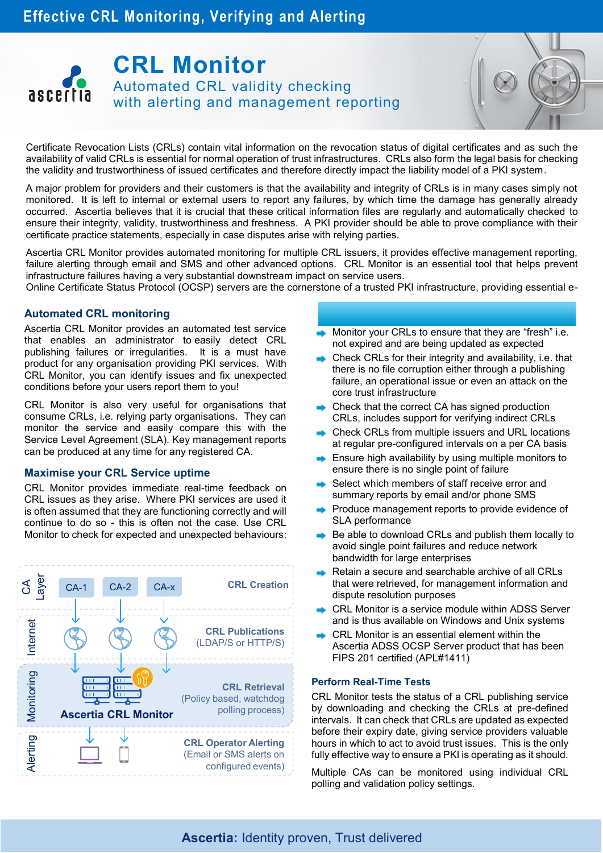# **CRL Monitor** Automated CRL validity checking ascertia with alerting and management reporting

Certificate Revocation Lists (CRLs) contain vital information on the revocation status of digital certificates and as such the availability of valid CRLs is essential for normal operation of trust infrastructures. CRLs also form the legal basis for checking the validity and trustworthiness of issued certificates and therefore directly impact the liability model of a PKI system.

A major problem for providers and their customers is that the availability and integrity of CRLs is in many cases simply not monitored. It is left to internal or external users to report any failures, by which time the damage has generally already occurred. Ascertia believes that it is crucial that these critical information files are regularly and automatically checked to ensure their integrity, validity, trustworthiness and freshness. A PKI provider should be able to prove compliance with their certificate practice statements, especially in case disputes arise with relying parties.

Ascertia CRL Monitor provides automated monitoring for multiple CRL issuers, it provides effective management reporting, failure alerting through email and SMS and other advanced options. CRL Monitor is an essential tool that helps prevent infrastructure failures having a very substantial downstream impact on service users.

Online Certificate Status Protocol (OCSP) servers are the cornerstone of a trusted PKI infrastructure, providing essential e-ID validation services and are the basis for checking the trust and managing the liability associated with this. It is crucial that

## **They are correctly configured, remain highly available to regularly checked for correct to regular lying parties and that they are regularly checked for correct for correct for correct for correct for correct in the set o**

Ascertia CRL Monitor provides an automated test service **Law Monitor your CRLs to ensure that they are "fresh" i e** Assertial STC Monitor provides an administrator consist detect CRL publishing failures or irregularities. It is a must have product for any organisation providing PKI services. With CRL Monitor, you can identify issues and fix unexpected conditions before your users report them to you!

CRL Monitor is also very useful for organisations that consume CRLs, i.e. relying party organisations. They can monitor the service and easily compare this with the Service Level Agreement (SLA). Key management reports can be produced at any time for any registered CA.

## **Maximise your CRL Service uptime**

CRL Monitor provides immediate real-time feedback on CRL issues as they arise. Where PKI services are used it is often assumed that they are functioning correctly and will continue to do so - this is often not the case. Use CRL Monitor to check for expected and unexpected behaviours:



- Monitor your CRLs to ensure that they are "fresh" i.e. not expired and are being updated as expected
- $\rightarrow$  Check CRLs for their integrity and availability, i.e. that there is no file corruption either through a publishing failure, an operational issue or even an attack on the core trust infrastructure
- Check that the correct CA has signed production CRLs, includes support for verifying indirect CRLs
- Check CRLs from multiple issuers and URL locations at regular pre-configured intervals on a per CA basis
- Ensure high availability by using multiple monitors to ensure there is no single point of failure
- Select which members of staff receive error and summary reports by email and/or phone SMS
- Produce management reports to provide evidence of SLA performance
- Be able to download CRLs and publish them locally to avoid single point failures and reduce network bandwidth for large enterprises
- Retain a secure and searchable archive of all CRLs that were retrieved, for management information and dispute resolution purposes
- **CRL Monitor is a service module within ADSS Server** and is thus available on Windows and Unix systems
- CRL Monitor is an essential element within the Ascertia ADSS OCSP Server product that has been FIPS 201 certified (APL#1411)

#### **Perform Real-Time Tests**

CRL Monitor tests the status of a CRL publishing service by downloading and checking the CRLs at pre-defined intervals. It can check that CRLs are updated as expected before their expiry date, giving service providers valuable hours in which to act to avoid trust issues. This is the only fully effective way to ensure a PKI is operating as it should.

Multiple CAs can be monitored using individual CRL polling and validation policy settings.